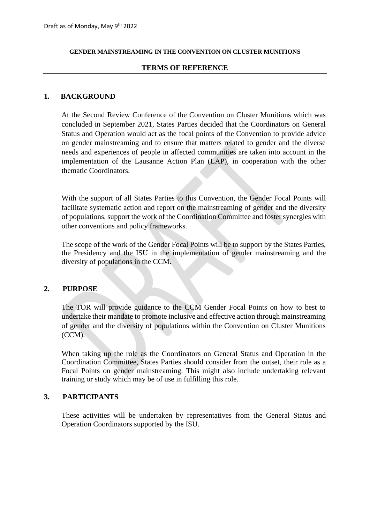#### **GENDER MAINSTREAMING IN THE CONVENTION ON CLUSTER MUNITIONS**

### **TERMS OF REFERENCE**

### **1. BACKGROUND**

At the Second Review Conference of the Convention on Cluster Munitions which was concluded in September 2021, States Parties decided that the Coordinators on General Status and Operation would act as the focal points of the Convention to provide advice on gender mainstreaming and to ensure that matters related to gender and the diverse needs and experiences of people in affected communities are taken into account in the implementation of the Lausanne Action Plan (LAP), in cooperation with the other thematic Coordinators.

With the support of all States Parties to this Convention, the Gender Focal Points will facilitate systematic action and report on the mainstreaming of gender and the diversity of populations, support the work of the Coordination Committee and foster synergies with other conventions and policy frameworks.

The scope of the work of the Gender Focal Points will be to support by the States Parties, the Presidency and the ISU in the implementation of gender mainstreaming and the diversity of populations in the CCM.

### **2. PURPOSE**

The TOR will provide guidance to the CCM Gender Focal Points on how to best to undertake their mandate to promote inclusive and effective action through mainstreaming of gender and the diversity of populations within the Convention on Cluster Munitions (CCM).

When taking up the role as the Coordinators on General Status and Operation in the Coordination Committee, States Parties should consider from the outset, their role as a Focal Points on gender mainstreaming. This might also include undertaking relevant training or study which may be of use in fulfilling this role.

### **3. PARTICIPANTS**

These activities will be undertaken by representatives from the General Status and Operation Coordinators supported by the ISU.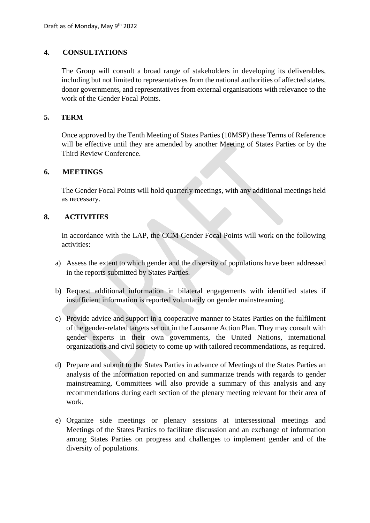# **4. CONSULTATIONS**

The Group will consult a broad range of stakeholders in developing its deliverables, including but not limited to representatives from the national authorities of affected states, donor governments, and representatives from external organisations with relevance to the work of the Gender Focal Points.

## **5. TERM**

Once approved by the Tenth Meeting of States Parties (10MSP) these Terms of Reference will be effective until they are amended by another Meeting of States Parties or by the Third Review Conference.

## **6. MEETINGS**

The Gender Focal Points will hold quarterly meetings, with any additional meetings held as necessary.

## **8. ACTIVITIES**

In accordance with the LAP, the CCM Gender Focal Points will work on the following activities:

- a) Assess the extent to which gender and the diversity of populations have been addressed in the reports submitted by States Parties.
- b) Request additional information in bilateral engagements with identified states if insufficient information is reported voluntarily on gender mainstreaming.
- c) Provide advice and support in a cooperative manner to States Parties on the fulfilment of the gender-related targets set out in the Lausanne Action Plan. They may consult with gender experts in their own governments, the United Nations, international organizations and civil society to come up with tailored recommendations, as required.
- d) Prepare and submit to the States Parties in advance of Meetings of the States Parties an analysis of the information reported on and summarize trends with regards to gender mainstreaming. Committees will also provide a summary of this analysis and any recommendations during each section of the plenary meeting relevant for their area of work.
- e) Organize side meetings or plenary sessions at intersessional meetings and Meetings of the States Parties to facilitate discussion and an exchange of information among States Parties on progress and challenges to implement gender and of the diversity of populations.